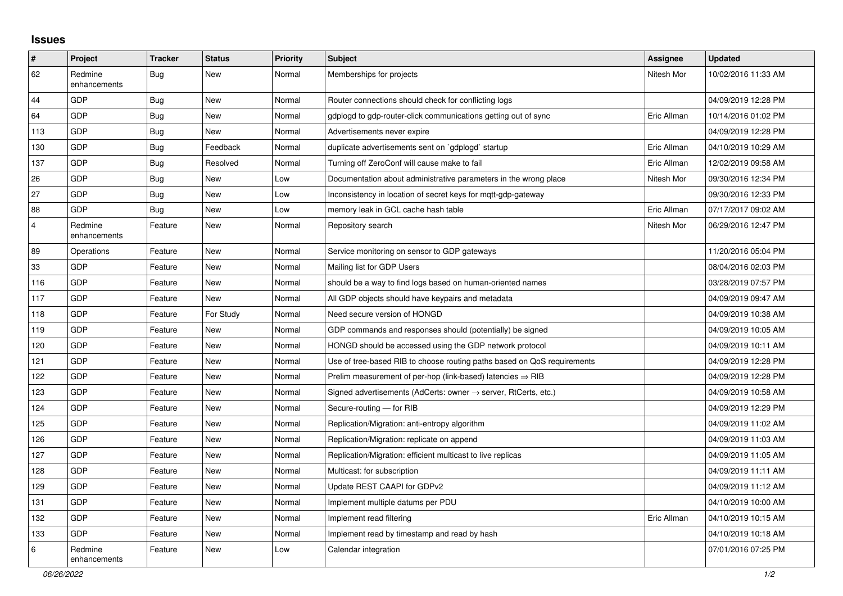## **Issues**

| $\pmb{\#}$ | Project                 | <b>Tracker</b> | <b>Status</b> | <b>Priority</b> | <b>Subject</b>                                                             | <b>Assignee</b> | <b>Updated</b>      |
|------------|-------------------------|----------------|---------------|-----------------|----------------------------------------------------------------------------|-----------------|---------------------|
| 62         | Redmine<br>enhancements | <b>Bug</b>     | New           | Normal          | Memberships for projects                                                   | Nitesh Mor      | 10/02/2016 11:33 AM |
| 44         | GDP                     | <b>Bug</b>     | <b>New</b>    | Normal          | Router connections should check for conflicting logs                       |                 | 04/09/2019 12:28 PM |
| 64         | GDP                     | <b>Bug</b>     | <b>New</b>    | Normal          | gdplogd to gdp-router-click communications getting out of sync             | Eric Allman     | 10/14/2016 01:02 PM |
| 113        | GDP                     | Bug            | <b>New</b>    | Normal          | Advertisements never expire                                                |                 | 04/09/2019 12:28 PM |
| 130        | GDP                     | <b>Bug</b>     | Feedback      | Normal          | duplicate advertisements sent on `gdplogd` startup                         | Eric Allman     | 04/10/2019 10:29 AM |
| 137        | GDP                     | Bug            | Resolved      | Normal          | Turning off ZeroConf will cause make to fail                               | Eric Allman     | 12/02/2019 09:58 AM |
| 26         | GDP                     | Bug            | <b>New</b>    | Low             | Documentation about administrative parameters in the wrong place           | Nitesh Mor      | 09/30/2016 12:34 PM |
| 27         | GDP                     | <b>Bug</b>     | <b>New</b>    | Low             | Inconsistency in location of secret keys for mqtt-gdp-gateway              |                 | 09/30/2016 12:33 PM |
| 88         | GDP                     | <b>Bug</b>     | <b>New</b>    | Low             | memory leak in GCL cache hash table                                        | Eric Allman     | 07/17/2017 09:02 AM |
| 4          | Redmine<br>enhancements | Feature        | <b>New</b>    | Normal          | Repository search                                                          | Nitesh Mor      | 06/29/2016 12:47 PM |
| 89         | Operations              | Feature        | <b>New</b>    | Normal          | Service monitoring on sensor to GDP gateways                               |                 | 11/20/2016 05:04 PM |
| 33         | GDP                     | Feature        | <b>New</b>    | Normal          | Mailing list for GDP Users                                                 |                 | 08/04/2016 02:03 PM |
| 116        | GDP                     | Feature        | <b>New</b>    | Normal          | should be a way to find logs based on human-oriented names                 |                 | 03/28/2019 07:57 PM |
| 117        | GDP                     | Feature        | <b>New</b>    | Normal          | All GDP objects should have keypairs and metadata                          |                 | 04/09/2019 09:47 AM |
| 118        | GDP                     | Feature        | For Study     | Normal          | Need secure version of HONGD                                               |                 | 04/09/2019 10:38 AM |
| 119        | GDP                     | Feature        | <b>New</b>    | Normal          | GDP commands and responses should (potentially) be signed                  |                 | 04/09/2019 10:05 AM |
| 120        | GDP                     | Feature        | <b>New</b>    | Normal          | HONGD should be accessed using the GDP network protocol                    |                 | 04/09/2019 10:11 AM |
| 121        | GDP                     | Feature        | <b>New</b>    | Normal          | Use of tree-based RIB to choose routing paths based on QoS requirements    |                 | 04/09/2019 12:28 PM |
| 122        | GDP                     | Feature        | <b>New</b>    | Normal          | Prelim measurement of per-hop (link-based) latencies $\Rightarrow$ RIB     |                 | 04/09/2019 12:28 PM |
| 123        | GDP                     | Feature        | <b>New</b>    | Normal          | Signed advertisements (AdCerts: owner $\rightarrow$ server, RtCerts, etc.) |                 | 04/09/2019 10:58 AM |
| 124        | GDP                     | Feature        | <b>New</b>    | Normal          | Secure-routing - for RIB                                                   |                 | 04/09/2019 12:29 PM |
| 125        | GDP                     | Feature        | New           | Normal          | Replication/Migration: anti-entropy algorithm                              |                 | 04/09/2019 11:02 AM |
| 126        | GDP                     | Feature        | <b>New</b>    | Normal          | Replication/Migration: replicate on append                                 |                 | 04/09/2019 11:03 AM |
| 127        | GDP                     | Feature        | <b>New</b>    | Normal          | Replication/Migration: efficient multicast to live replicas                |                 | 04/09/2019 11:05 AM |
| 128        | GDP                     | Feature        | New           | Normal          | Multicast: for subscription                                                |                 | 04/09/2019 11:11 AM |
| 129        | GDP                     | Feature        | <b>New</b>    | Normal          | Update REST CAAPI for GDPv2                                                |                 | 04/09/2019 11:12 AM |
| 131        | GDP                     | Feature        | <b>New</b>    | Normal          | Implement multiple datums per PDU                                          |                 | 04/10/2019 10:00 AM |
| 132        | GDP                     | Feature        | <b>New</b>    | Normal          | Implement read filtering                                                   | Eric Allman     | 04/10/2019 10:15 AM |
| 133        | GDP                     | Feature        | New           | Normal          | Implement read by timestamp and read by hash                               |                 | 04/10/2019 10:18 AM |
| 6          | Redmine<br>enhancements | Feature        | <b>New</b>    | Low             | Calendar integration                                                       |                 | 07/01/2016 07:25 PM |